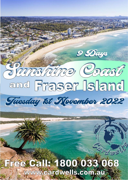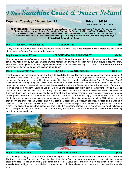# **9 Day Sunshine Coast & Fraser Island**

## **Departs: Tuesday 1<sup>st</sup> November '22 Price: \$4336**

(Single Room Option \$1990)

**TOUR INCLUDES: \* Free passenger pickup & return (please refer to booking schedule) \* Quality Accommodation \*Luggage Labels \* Name Badge \* Fraser Island Package \* a Devonshire Morning Tea \* No Hidden Extras \* ALL Breakfasts \* Two Course Dinners \* All Admission fees, sightseeing tours cruises & flights as per itinerary \* Fraser Island Guide with extensive local knowledge \* Morning & Afternoon Tea (weather/time permitting) B=Breakfast L=Lunch D=Dinner** 

### **Day 1 – Tuesday 1st November '22 MELBOURNE (D)**

Today we make our way down to the Melbourne where we stay at the **Best Western Airport Motel** and get a good night's sleep before our flight the following morning.

#### **Day 2 – Wednesday 2nd Nov MELBOURNE – SUNSHINE COAST (B, D)**

This morning after breakfast we take a shuttle bus to the **Tullamarine Airport** for our flight to the Sunshine Coast. On arrival you will be met by our Coach Captain whole will take you into town for lunch at your own leisure. Following lunch, and a look around, you will be taken to your accommodation for the next three nights at **Oaks Oasis Resort, Caloundra** where you will have time to rest and freshen up for dinner.

#### **Day 3 – Thursday 3**

**rd Nov SEA LIFE – SEAFOOD CRUISE (B, L, D)** 

After breakfast this morning we depart and travel to **Sea Life.** Sea Life Sunshine Coast is Queensland's best aquarium! You will discover tropical fish, rays and other amazing creatures as you surround yourself in the beauty of thousands of marine and freshwater creatures. No trip to the Sunshine Coast is complete without visiting Sea Life Sunshine Coast! Walk underwater through the glass viewing tunnel and see Australia's marine life like never before! Come within inches of huge sharks, rays and turtles and see some of the remarkable marine and freshwater animals that Australia is famous for. Then it's time for a wonderful **Seafood Cruise.** All meals are collected from direct from the waterfront seafood market at the Mooloolaba Spit. Sit back, relax and enjoy the multimillion dollars views while enjoying the freshest seafood the Sunshine Coast has to offer. Cruise effortlessly through the Mooloolaba Harbour, river & canals viewing our famous "Fishing Fleet", Pilot Boats & Recreational Vessels. Head out to the river mouth to enjoy picturesque views of the bay of Mooloolaba. Glide into the main river and canals to enjoy the sights of the Minyama mansions along Millionaire's row. We then depart the cruise for the **Queensland Air Museum.** Queensland Air Museum acquires, restores and maintains a collection of 75+ historically significant aircraft and related aviation displays at a 2 hectare site opposite the Caloundra Airport. The display has gown from just one aircraft in 1973, a Canberra Bomber to now more than 75 aircraft including a F-111, Mirage Jet, Australia's oldest DC-3. We then delight in afternoon tea in the **Botanical Gardens** before heading back to our accommodation.



**Day 4 - Friday 4<sup>th</sup> Nov <b>AUSTRALIA ZOO** (B,D)

This morning we enjoy a hearty breakfast before setting off to our day at the **Australia Zoo – Home of the Crocodile Hunter.** Located on Queensland's Sunshine Coast, Australia Zoo is a team of passionate conservationists working around-the-clock to deliver an animal experience like no other. Steve and Terri Irwin's vision has always been to make Australia Zoo the biggest and best wildlife conservation facility in the entire world, and there is no other zoo like Australia Zoo!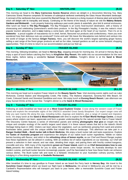#### **Day 5 - Saturday 5<sup>th</sup> Nov <b>HINTERLAND** (B,D)

This morning we head to the **Mary Cairncross Scenic Reserve** where we delight in a Devonshire Morning Tea. Mary Cairncross Scenic Reserve comprises 55 hectares of subtropical rainforest overlooking the Glass House Mountains landscape. A remnant of the rainforests that once covered the Blackall Range, the reserve is a living museum of diverse plant and animal life which will delight with its tranquility and beauty. Continuing on the theme of the beauty of nature we visit the **Maleny Botanic Gardens and Birdworld -** Lush property featuring walkways past exotic plants & waterfalls, plus bird & animal enclosures. After lunch we head to **The Big Pineapple.** The Big Pineapple is an iconic food-tourism destination, with a history of showcasing and celebrating Queensland's world-class produce. In the Big Pineapple's heyday, it was the nation's most popular tourism attraction, and is **now** making a come-back, with food again at the heart of our tourism. Then it's on to **Nutworks** - a proud supplier of macadamia nut in shell, kernel, flavoured nut products and confectionery. Have you ever wondered how their delicious nuts are produced? Come and [see!](https://www.nutworks.com.au/visit-nutworks) We leave the Macadamia nuts behind and venture into the world of Ginger at the famous **Ginger Factory.** Here, you will discover the world's largest operating ginger factory selling a vast range of the finest ginger products as well as fun rides, tranquil gardens as well as some [fantastic shopping](https://www.sunshinecoastpoint.com.au/attractions/shopping/)  [opportunities.](https://www.sunshinecoastpoint.com.au/attractions/shopping/) Then it's time to return to our accommodation and put our feet up.

#### **Day 6 - Sunday 6**

This morning, following breakfast, we head to **Hervey Bay**, stopping enroute for morning tea. On arrival in Hervey Bay we enjoy a spot of lunch before catching the Ferry to **Kingfisher Bay Resort.** We settle into our accommodation for the next three nights, before taking a wonderful **Sunset Cruise with nibbles.** Tonight's dinner is at the **Sand & Wood Restaurant.**

**therefore ISLAND** (B,D)

**Day 7 • Monday 7<sup>th</sup> Nov <b>FRASER ISLAND** (B, This morning we head out to explore Fraser Island on the **Beauty Sports Tour.** Visit stunning scenic sights such as Lake McKenzie, Central Station and Woongoolba Creek, Pile Valley, The Maheno shipwreck, Seventy-five Mile Beach, Eli Creek, Coloured Sands and Stonetool Sandblow and more. We enjoy lunch at **Eurong Beach Resort.** Late afternoon we enjoy Sunset Drinks at the Sunset Bar. Tonight's dinner is a the **Sand & Wood Restaurant.**

### **Day 8 - Tuesday 8**

**FRASER ISLAND** (B,D)

Following an early breakfast we head out on a **West Coast Explorer Cruise**. Cruise along the western coast of Fraser Island and explore the remarkable sights of the UNESCO awarded Great Sandy Biosphere. Our expert ranger crew will help you spot marine life along the way, including turtles, dugongs and dolphins, plus a range of coastal and migratory birds. We enjoy lunch at the **Sand & Wood Restaurant** with time to explore the **K'Gari World Heritage Centre**, a visual space where visitors can learn, appreciate and form a greater understanding for the natural wonder that is Fraser Island! The Discovery Centre features a series of informative panels and striking **photographs that give** an insight into the unique and complex ecology of the world's largest sand island. It is these natural values that led to the island's World Heritage listing back in 1992**.** Visitors can learn about the vegetation, such as rainforests growing from sand and pristine freshwater lakes, paired with the unique wildlife that inhabit this diverse landscape. This afternoon we take part in a **Ranger Guided Walk – Bush tucker talk & Bush Medicine.** We enjoy a bush tucker talk and taste experience. Explore the **Tastes of Australia program** and experience the delights of our native bush tucker ingredients. Nibble on native berries bursting with flavour, and relish in the **refreshing citrus of lemon myrtle,** as our Chef and Resort Ranger explain how these ingredients can be utilised in cooking. With an endless list of native ingredients on our doorstep, our Chef will present a selection in their natural, and raw state, detailing their origin, and pairing them with freshly cooked kangaroo, crocodile and emu. With many of the ingredients **grown on Fraser Island,** watch on as **Chef demonstrates how to use them,** presents the cooked dishes for you to taste, and shares some recipe secrets. As Australia develops its own modern cuisine, and bush tucker become increasingly popular, you'll be fascinated to hear how these foods can enhance various dishes. The Bush tucker talk and taste is a fantastic introduction to your Australian culinary journey, before indulging in a fine dining experience at **Seabelle Restaurant.**

## **Day 9 - Wednesday 9th Nov FRASER ISLAND - HOME (B,D)**

After breakfast it's time to say goodbye to Fraser Island as we board the Ferry back to **Hervey Bay.** We travel to the **Sunshine Coast Airport** where we board our flight back to **Melbourne.** On arrival in Melbourne you will be met by a Cardwell's Representative who will transport you back to your home, after a memorable Sunshine Coast and Fraser Island holiday.